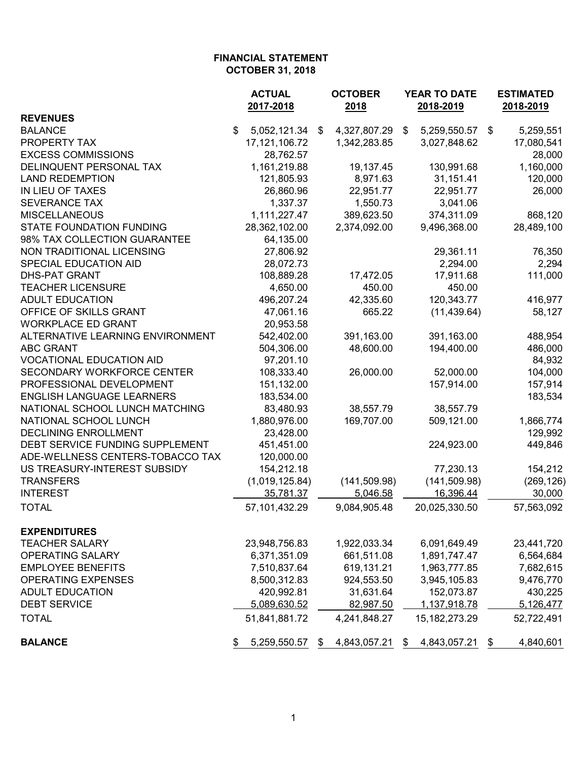|                                  | <b>ACTUAL</b><br>2017-2018 | <b>OCTOBER</b><br>2018 | <b>YEAR TO DATE</b><br>2018-2019 |                  |    | <b>ESTIMATED</b><br>2018-2019 |  |
|----------------------------------|----------------------------|------------------------|----------------------------------|------------------|----|-------------------------------|--|
| <b>REVENUES</b>                  |                            |                        |                                  |                  |    |                               |  |
| <b>BALANCE</b>                   | \$<br>5,052,121.34         | \$<br>4,327,807.29     | \$                               | 5,259,550.57 \$  |    | 5,259,551                     |  |
| PROPERTY TAX                     | 17, 121, 106. 72           | 1,342,283.85           |                                  | 3,027,848.62     |    | 17,080,541                    |  |
| <b>EXCESS COMMISSIONS</b>        | 28,762.57                  |                        |                                  |                  |    | 28,000                        |  |
| DELINQUENT PERSONAL TAX          | 1,161,219.88               | 19,137.45              |                                  | 130,991.68       |    | 1,160,000                     |  |
| <b>LAND REDEMPTION</b>           | 121,805.93                 | 8,971.63               |                                  | 31,151.41        |    | 120,000                       |  |
| IN LIEU OF TAXES                 | 26,860.96                  | 22,951.77              |                                  | 22,951.77        |    | 26,000                        |  |
| <b>SEVERANCE TAX</b>             | 1,337.37                   | 1,550.73               |                                  | 3,041.06         |    |                               |  |
| <b>MISCELLANEOUS</b>             | 1,111,227.47               | 389,623.50             |                                  | 374,311.09       |    | 868,120                       |  |
| <b>STATE FOUNDATION FUNDING</b>  | 28,362,102.00              | 2,374,092.00           |                                  | 9,496,368.00     |    | 28,489,100                    |  |
| 98% TAX COLLECTION GUARANTEE     | 64,135.00                  |                        |                                  |                  |    |                               |  |
| NON TRADITIONAL LICENSING        | 27,806.92                  |                        |                                  | 29,361.11        |    | 76,350                        |  |
| SPECIAL EDUCATION AID            | 28,072.73                  |                        |                                  | 2,294.00         |    | 2,294                         |  |
| <b>DHS-PAT GRANT</b>             | 108,889.28                 | 17,472.05              |                                  | 17,911.68        |    | 111,000                       |  |
| <b>TEACHER LICENSURE</b>         | 4,650.00                   | 450.00                 |                                  | 450.00           |    |                               |  |
| <b>ADULT EDUCATION</b>           | 496,207.24                 | 42,335.60              |                                  | 120,343.77       |    | 416,977                       |  |
| OFFICE OF SKILLS GRANT           | 47,061.16                  | 665.22                 |                                  | (11, 439.64)     |    | 58,127                        |  |
| <b>WORKPLACE ED GRANT</b>        | 20,953.58                  |                        |                                  |                  |    |                               |  |
| ALTERNATIVE LEARNING ENVIRONMENT | 542,402.00                 | 391,163.00             |                                  | 391,163.00       |    | 488,954                       |  |
| <b>ABC GRANT</b>                 | 504,306.00                 | 48,600.00              |                                  | 194,400.00       |    | 486,000                       |  |
| <b>VOCATIONAL EDUCATION AID</b>  | 97,201.10                  |                        |                                  |                  |    | 84,932                        |  |
| SECONDARY WORKFORCE CENTER       | 108,333.40                 | 26,000.00              |                                  | 52,000.00        |    | 104,000                       |  |
| PROFESSIONAL DEVELOPMENT         | 151,132.00                 |                        |                                  | 157,914.00       |    | 157,914                       |  |
| <b>ENGLISH LANGUAGE LEARNERS</b> | 183,534.00                 |                        |                                  |                  |    | 183,534                       |  |
| NATIONAL SCHOOL LUNCH MATCHING   | 83,480.93                  | 38,557.79              |                                  | 38,557.79        |    |                               |  |
| NATIONAL SCHOOL LUNCH            | 1,880,976.00               | 169,707.00             |                                  | 509,121.00       |    | 1,866,774                     |  |
| <b>DECLINING ENROLLMENT</b>      | 23,428.00                  |                        |                                  |                  |    | 129,992                       |  |
| DEBT SERVICE FUNDING SUPPLEMENT  | 451,451.00                 |                        |                                  | 224,923.00       |    | 449,846                       |  |
| ADE-WELLNESS CENTERS-TOBACCO TAX | 120,000.00                 |                        |                                  |                  |    |                               |  |
| US TREASURY-INTEREST SUBSIDY     | 154,212.18                 |                        |                                  | 77,230.13        |    | 154,212                       |  |
| <b>TRANSFERS</b>                 | (1,019,125.84)             | (141, 509.98)          |                                  | (141, 509.98)    |    | (269, 126)                    |  |
| <b>INTEREST</b>                  | 35,781.37                  | 5,046.58               |                                  | 16,396.44        |    | 30,000                        |  |
| <b>TOTAL</b>                     | 57,101,432.29              | 9,084,905.48           |                                  | 20,025,330.50    |    | 57,563,092                    |  |
| <b>EXPENDITURES</b>              |                            |                        |                                  |                  |    |                               |  |
| <b>TEACHER SALARY</b>            | 23,948,756.83              | 1,922,033.34           |                                  | 6,091,649.49     |    | 23,441,720                    |  |
| <b>OPERATING SALARY</b>          | 6,371,351.09               | 661,511.08             |                                  | 1,891,747.47     |    | 6,564,684                     |  |
| <b>EMPLOYEE BENEFITS</b>         | 7,510,837.64               | 619,131.21             |                                  | 1,963,777.85     |    | 7,682,615                     |  |
| <b>OPERATING EXPENSES</b>        | 8,500,312.83               | 924,553.50             |                                  | 3,945,105.83     |    | 9,476,770                     |  |
| <b>ADULT EDUCATION</b>           | 420,992.81                 | 31,631.64              |                                  | 152,073.87       |    | 430,225                       |  |
| <b>DEBT SERVICE</b>              | 5,089,630.52               | 82,987.50              |                                  | 1,137,918.78     |    | 5,126,477                     |  |
| <b>TOTAL</b>                     | 51,841,881.72              | 4,241,848.27           |                                  | 15, 182, 273. 29 |    | 52,722,491                    |  |
| <b>BALANCE</b>                   | 5,259,550.57<br>\$         | \$<br>4,843,057.21     | \$                               | 4,843,057.21     | \$ | 4,840,601                     |  |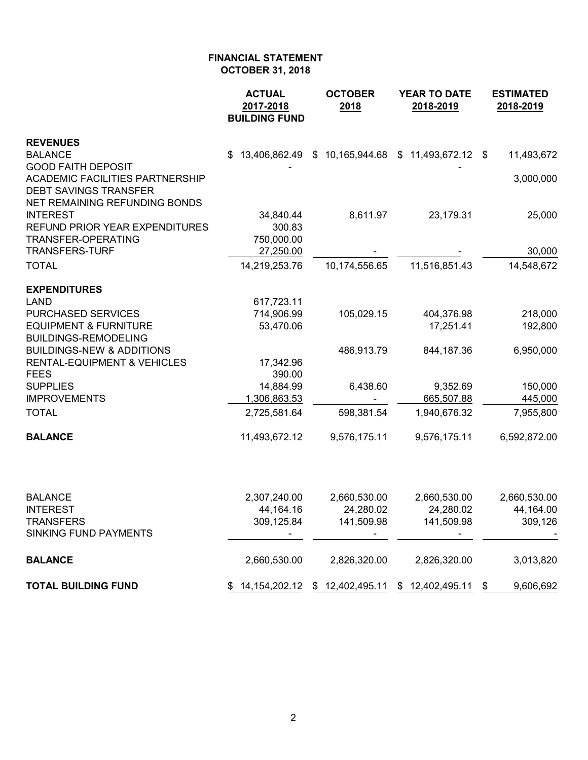|                                                                                                                                      | <b>ACTUAL</b><br>2017-2018<br><b>BUILDING FUND</b> | <b>OCTOBER</b><br>2018            | <b>YEAR TO DATE</b><br>2018-2019                   | <b>ESTIMATED</b><br>2018-2019 |  |  |
|--------------------------------------------------------------------------------------------------------------------------------------|----------------------------------------------------|-----------------------------------|----------------------------------------------------|-------------------------------|--|--|
| <b>REVENUES</b>                                                                                                                      |                                                    |                                   |                                                    |                               |  |  |
| <b>BALANCE</b>                                                                                                                       | \$.                                                |                                   | 13,406,862.49 \$ 10,165,944.68 \$ 11,493,672.12 \$ | 11,493,672                    |  |  |
| <b>GOOD FAITH DEPOSIT</b><br><b>ACADEMIC FACILITIES PARTNERSHIP</b><br><b>DEBT SAVINGS TRANSFER</b><br>NET REMAINING REFUNDING BONDS |                                                    |                                   |                                                    | 3,000,000                     |  |  |
| <b>INTEREST</b><br>REFUND PRIOR YEAR EXPENDITURES                                                                                    | 34,840.44<br>300.83                                | 8,611.97                          | 23,179.31                                          | 25,000                        |  |  |
| TRANSFER-OPERATING                                                                                                                   | 750,000.00                                         |                                   |                                                    |                               |  |  |
| <b>TRANSFERS-TURF</b>                                                                                                                | 27,250.00                                          |                                   |                                                    | 30,000                        |  |  |
| <b>TOTAL</b>                                                                                                                         | 14,219,253.76                                      | 10,174,556.65                     | 11,516,851.43                                      | 14,548,672                    |  |  |
| <b>EXPENDITURES</b>                                                                                                                  |                                                    |                                   |                                                    |                               |  |  |
| <b>LAND</b>                                                                                                                          | 617,723.11                                         |                                   |                                                    |                               |  |  |
| <b>PURCHASED SERVICES</b>                                                                                                            | 714,906.99                                         | 105,029.15                        | 404,376.98                                         | 218,000                       |  |  |
| <b>EQUIPMENT &amp; FURNITURE</b><br><b>BUILDINGS-REMODELING</b>                                                                      | 53,470.06                                          |                                   | 17,251.41                                          | 192,800                       |  |  |
| <b>BUILDINGS-NEW &amp; ADDITIONS</b>                                                                                                 |                                                    | 486,913.79                        | 844,187.36                                         | 6,950,000                     |  |  |
| <b>RENTAL-EQUIPMENT &amp; VEHICLES</b>                                                                                               | 17,342.96                                          |                                   |                                                    |                               |  |  |
| <b>FEES</b>                                                                                                                          | 390.00                                             |                                   |                                                    |                               |  |  |
| <b>SUPPLIES</b>                                                                                                                      | 14,884.99                                          | 6,438.60                          | 9,352.69                                           | 150,000                       |  |  |
| <b>IMPROVEMENTS</b>                                                                                                                  | 1,306,863.53                                       |                                   | 665,507.88                                         | 445,000                       |  |  |
| <b>TOTAL</b>                                                                                                                         | 2,725,581.64                                       | 598,381.54                        | 1,940,676.32                                       | 7,955,800                     |  |  |
| <b>BALANCE</b>                                                                                                                       | 11,493,672.12                                      | 9,576,175.11                      | 9,576,175.11                                       | 6,592,872.00                  |  |  |
|                                                                                                                                      |                                                    |                                   |                                                    |                               |  |  |
| <b>BALANCE</b>                                                                                                                       | 2,307,240.00                                       | 2,660,530.00                      | 2,660,530.00                                       | 2,660,530.00                  |  |  |
| <b>INTEREST</b>                                                                                                                      | 44,164.16                                          | 24,280.02                         | 24,280.02                                          | 44,164.00                     |  |  |
| TRANSFERS<br><b>SINKING FUND PAYMENTS</b>                                                                                            | 309,125.84                                         | 141,509.98                        | 141,509.98                                         | 309,126                       |  |  |
|                                                                                                                                      |                                                    |                                   |                                                    |                               |  |  |
| <b>BALANCE</b>                                                                                                                       | 2,660,530.00                                       | 2,826,320.00                      | 2,826,320.00                                       | 3,013,820                     |  |  |
| <b>TOTAL BUILDING FUND</b>                                                                                                           |                                                    | \$ 14,154,202.12 \$ 12,402,495.11 | \$12,402,495.11                                    | 9,606,692<br>\$               |  |  |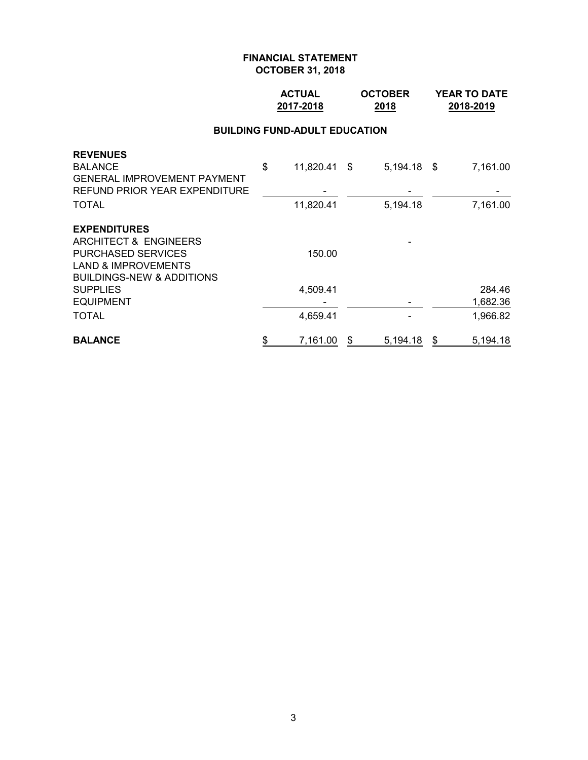## **ACTUAL OCTOBER YEAR TO DATE 2017-2018 2018 2018-2019**

#### **BUILDING FUND-ADULT EDUCATION**

| <b>REVENUES</b>                      |                    |   |               |   |          |
|--------------------------------------|--------------------|---|---------------|---|----------|
| <b>BALANCE</b>                       | \$<br>11,820.41 \$ |   | $5,194.18$ \$ |   | 7,161.00 |
| <b>GENERAL IMPROVEMENT PAYMENT</b>   |                    |   |               |   |          |
| REFUND PRIOR YEAR EXPENDITURE        |                    |   |               |   |          |
| <b>TOTAL</b>                         | 11,820.41          |   | 5,194.18      |   | 7,161.00 |
| <b>EXPENDITURES</b>                  |                    |   |               |   |          |
| ARCHITECT & ENGINEERS                |                    |   |               |   |          |
| <b>PURCHASED SERVICES</b>            | 150.00             |   |               |   |          |
| <b>LAND &amp; IMPROVEMENTS</b>       |                    |   |               |   |          |
| <b>BUILDINGS-NEW &amp; ADDITIONS</b> |                    |   |               |   |          |
| <b>SUPPLIES</b>                      | 4,509.41           |   |               |   | 284.46   |
| <b>EQUIPMENT</b>                     |                    |   |               |   | 1,682.36 |
| <b>TOTAL</b>                         | 4,659.41           |   |               |   | 1,966.82 |
| <b>BALANCE</b>                       | \$<br>7,161.00     | S | 5,194.18      | S | 5,194.18 |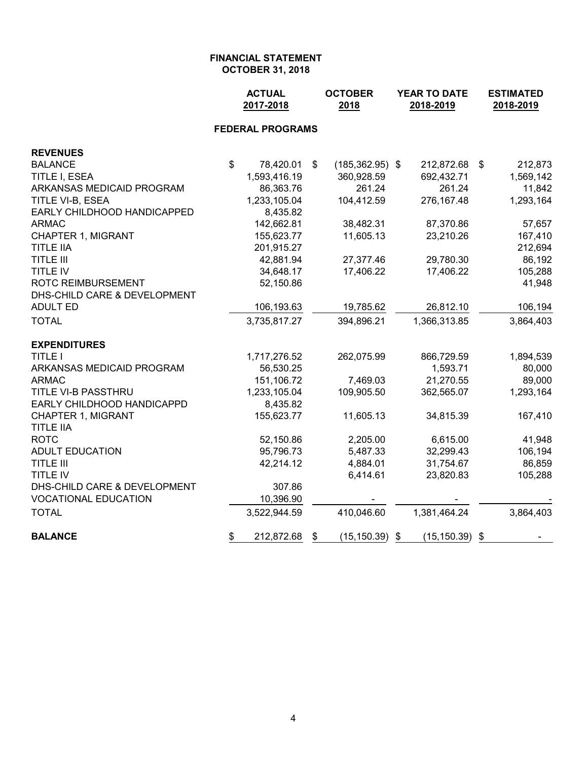|                                               | <b>ACTUAL</b><br>2017-2018 |                         |                | <b>OCTOBER</b><br>2018 | YEAR TO DATE<br>2018-2019 |    | <b>ESTIMATED</b><br>2018-2019 |
|-----------------------------------------------|----------------------------|-------------------------|----------------|------------------------|---------------------------|----|-------------------------------|
|                                               |                            | <b>FEDERAL PROGRAMS</b> |                |                        |                           |    |                               |
| <b>REVENUES</b>                               |                            |                         |                |                        |                           |    |                               |
| <b>BALANCE</b>                                | $\mathfrak{S}$             | 78,420.01               | $\mathfrak{P}$ | $(185, 362.95)$ \$     | 212,872.68                | \$ | 212,873                       |
| TITLE I, ESEA                                 |                            | 1,593,416.19            |                | 360,928.59             | 692,432.71                |    | 1,569,142                     |
| ARKANSAS MEDICAID PROGRAM                     |                            | 86,363.76               |                | 261.24                 | 261.24                    |    | 11,842                        |
| TITLE VI-B, ESEA                              |                            | 1,233,105.04            |                | 104,412.59             | 276,167.48                |    | 1,293,164                     |
| EARLY CHILDHOOD HANDICAPPED                   |                            | 8,435.82                |                |                        |                           |    |                               |
| <b>ARMAC</b>                                  |                            | 142,662.81              |                | 38,482.31              | 87,370.86                 |    | 57,657                        |
| <b>CHAPTER 1, MIGRANT</b>                     |                            | 155,623.77              |                | 11,605.13              | 23,210.26                 |    | 167,410                       |
| <b>TITLE IIA</b>                              |                            | 201,915.27              |                |                        |                           |    | 212,694                       |
| <b>TITLE III</b>                              |                            | 42,881.94               |                | 27,377.46              | 29,780.30                 |    | 86,192                        |
| TITLE IV                                      |                            | 34,648.17               |                | 17,406.22              | 17,406.22                 |    | 105,288                       |
| <b>ROTC REIMBURSEMENT</b>                     |                            | 52,150.86               |                |                        |                           |    | 41,948                        |
| DHS-CHILD CARE & DEVELOPMENT                  |                            |                         |                |                        |                           |    |                               |
| <b>ADULT ED</b>                               |                            | 106,193.63              |                | 19,785.62              | 26,812.10                 |    | 106,194                       |
| <b>TOTAL</b>                                  |                            | 3,735,817.27            |                | 394,896.21             | 1,366,313.85              |    | 3,864,403                     |
| <b>EXPENDITURES</b>                           |                            |                         |                |                        |                           |    |                               |
| <b>TITLE I</b>                                |                            | 1,717,276.52            |                | 262,075.99             | 866,729.59                |    | 1,894,539                     |
| ARKANSAS MEDICAID PROGRAM                     |                            | 56,530.25               |                |                        | 1,593.71                  |    | 80,000                        |
| <b>ARMAC</b>                                  |                            | 151,106.72              |                | 7,469.03               | 21,270.55                 |    | 89,000                        |
| TITLE VI-B PASSTHRU                           |                            | 1,233,105.04            |                | 109,905.50             | 362,565.07                |    | 1,293,164                     |
| EARLY CHILDHOOD HANDICAPPD                    |                            | 8,435.82                |                |                        |                           |    |                               |
| <b>CHAPTER 1, MIGRANT</b><br><b>TITLE IIA</b> |                            | 155,623.77              |                | 11,605.13              | 34,815.39                 |    | 167,410                       |
| <b>ROTC</b>                                   |                            | 52,150.86               |                | 2,205.00               | 6,615.00                  |    | 41,948                        |
| <b>ADULT EDUCATION</b>                        |                            | 95,796.73               |                | 5,487.33               | 32,299.43                 |    | 106,194                       |
| <b>TITLE III</b>                              |                            | 42,214.12               |                | 4,884.01               | 31,754.67                 |    | 86,859                        |
| TITLE IV                                      |                            |                         |                | 6,414.61               | 23,820.83                 |    | 105,288                       |
| DHS-CHILD CARE & DEVELOPMENT                  |                            | 307.86                  |                |                        |                           |    |                               |
| <b>VOCATIONAL EDUCATION</b>                   |                            | 10,396.90               |                |                        |                           |    |                               |
| <b>TOTAL</b>                                  |                            | 3,522,944.59            |                | 410,046.60             | 1,381,464.24              |    | 3,864,403                     |
| <b>BALANCE</b>                                | \$                         | 212,872.68              | \$             | $(15, 150.39)$ \$      | $(15, 150.39)$ \$         |    |                               |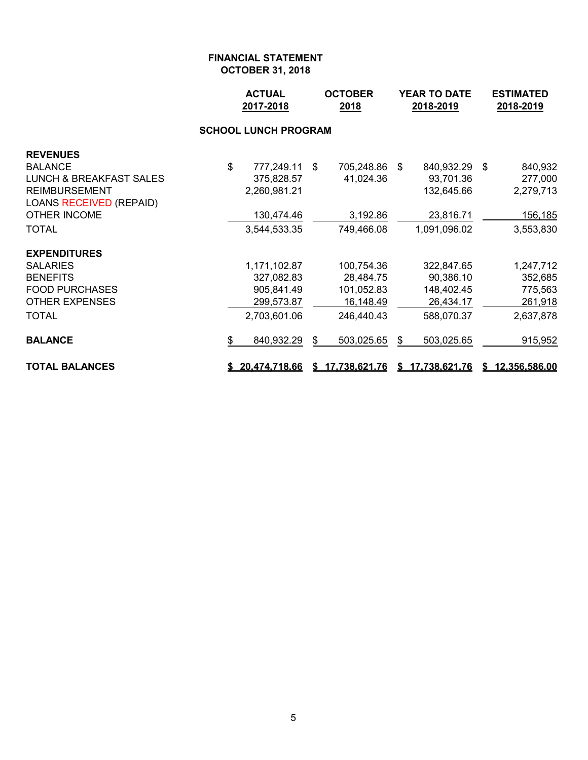|                                    |                             | <b>OCTOBER</b><br><b>ACTUAL</b><br>2017-2018<br>2018 |    | YEAR TO DATE<br>2018-2019 |    |                 | <b>ESTIMATED</b><br>2018-2019 |                 |  |  |
|------------------------------------|-----------------------------|------------------------------------------------------|----|---------------------------|----|-----------------|-------------------------------|-----------------|--|--|
|                                    | <b>SCHOOL LUNCH PROGRAM</b> |                                                      |    |                           |    |                 |                               |                 |  |  |
| <b>REVENUES</b>                    |                             |                                                      |    |                           |    |                 |                               |                 |  |  |
| <b>BALANCE</b>                     | \$                          | 777,249.11                                           | \$ | 705,248.86                | \$ | 840,932.29 \$   |                               | 840,932         |  |  |
| <b>LUNCH &amp; BREAKFAST SALES</b> |                             | 375,828.57                                           |    | 41,024.36                 |    | 93,701.36       |                               | 277,000         |  |  |
| <b>REIMBURSEMENT</b>               |                             | 2,260,981.21                                         |    |                           |    | 132,645.66      |                               | 2,279,713       |  |  |
| <b>LOANS RECEIVED (REPAID)</b>     |                             |                                                      |    |                           |    |                 |                               |                 |  |  |
| <b>OTHER INCOME</b>                |                             | 130,474.46                                           |    | 3,192.86                  |    | 23,816.71       |                               | 156,185         |  |  |
| <b>TOTAL</b>                       |                             | 3,544,533.35                                         |    | 749,466.08                |    | 1,091,096.02    |                               | 3,553,830       |  |  |
| <b>EXPENDITURES</b>                |                             |                                                      |    |                           |    |                 |                               |                 |  |  |
| <b>SALARIES</b>                    |                             | 1,171,102.87                                         |    | 100,754.36                |    | 322,847.65      |                               | 1,247,712       |  |  |
| <b>BENEFITS</b>                    |                             | 327,082.83                                           |    | 28,484.75                 |    | 90,386.10       |                               | 352,685         |  |  |
| <b>FOOD PURCHASES</b>              |                             | 905,841.49                                           |    | 101,052.83                |    | 148,402.45      |                               | 775,563         |  |  |
| <b>OTHER EXPENSES</b>              |                             | 299,573.87                                           |    | 16,148.49                 |    | 26,434.17       |                               | 261,918         |  |  |
| <b>TOTAL</b>                       |                             | 2,703,601.06                                         |    | 246,440.43                |    | 588,070.37      |                               | 2,637,878       |  |  |
| <b>BALANCE</b>                     | \$                          | 840,932.29                                           | \$ | 503,025.65                | \$ | 503,025.65      |                               | 915,952         |  |  |
| <b>TOTAL BALANCES</b>              |                             | \$20,474,718.66                                      |    | \$17,738,621.76           |    | \$17,738,621.76 |                               | \$12,356,586.00 |  |  |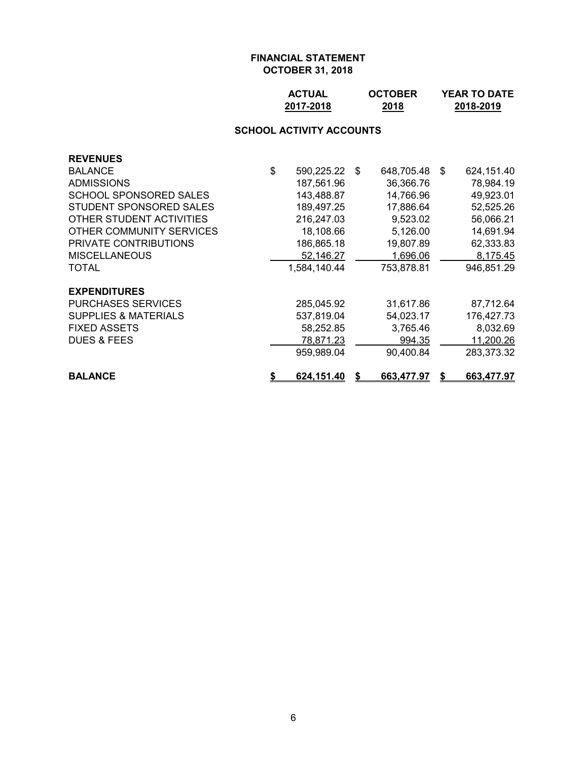| <b>ACTUAL</b> | <b>OCTOBER</b> | <b>YEAR TO DATE</b> |
|---------------|----------------|---------------------|
| 2017-2018     | 2018           | 2018-2019           |

## **SCHOOL ACTIVITY ACCOUNTS**

| <b>REVENUES</b>                 |                  |                  |    |            |
|---------------------------------|------------------|------------------|----|------------|
| <b>BALANCE</b>                  | \$<br>590,225.22 | \$<br>648,705.48 | -S | 624,151.40 |
| <b>ADMISSIONS</b>               | 187,561.96       | 36,366.76        |    | 78,984.19  |
| SCHOOL SPONSORED SALES          | 143,488.87       | 14,766.96        |    | 49,923.01  |
| STUDENT SPONSORED SALES         | 189,497.25       | 17,886.64        |    | 52,525.26  |
| OTHER STUDENT ACTIVITIES        | 216,247.03       | 9,523.02         |    | 56,066.21  |
| OTHER COMMUNITY SERVICES        | 18,108.66        | 5,126.00         |    | 14,691.94  |
| <b>PRIVATE CONTRIBUTIONS</b>    | 186,865.18       | 19,807.89        |    | 62,333.83  |
| <b>MISCELLANEOUS</b>            | 52,146.27        | 1,696.06         |    | 8,175.45   |
| TOTAL                           | 1,584,140.44     | 753,878.81       |    | 946,851.29 |
| <b>EXPENDITURES</b>             |                  |                  |    |            |
| <b>PURCHASES SERVICES</b>       | 285,045.92       | 31,617.86        |    | 87,712.64  |
| <b>SUPPLIES &amp; MATERIALS</b> | 537,819.04       | 54,023.17        |    | 176,427.73 |
| <b>FIXED ASSETS</b>             | 58,252.85        | 3,765.46         |    | 8,032.69   |
| <b>DUES &amp; FEES</b>          | 78,871.23        | 994.35           |    | 11,200.26  |
|                                 | 959,989.04       | 90,400.84        |    | 283,373.32 |
| <b>BALANCE</b>                  | 624,151.40       | 663,477.97       |    | 663,477.97 |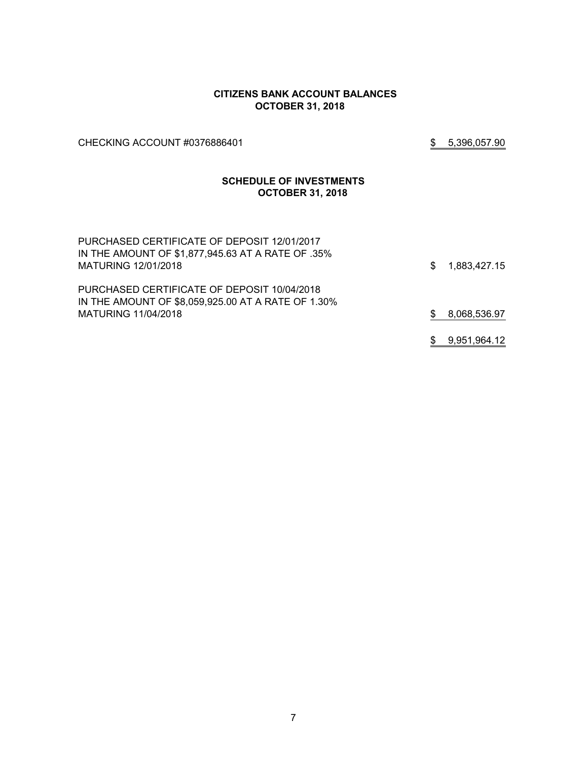#### **CITIZENS BANK ACCOUNT BALANCES OCTOBER 31, 2018**

CHECKING ACCOUNT #0376886401 \$ 5,396,057.90

#### **SCHEDULE OF INVESTMENTS OCTOBER 31, 2018**

| PURCHASED CERTIFICATE OF DEPOSIT 12/01/2017<br>IN THE AMOUNT OF \$1,877,945.63 AT A RATE OF .35%<br>MATURING 12/01/2018 | \$ | 1,883,427.15 |
|-------------------------------------------------------------------------------------------------------------------------|----|--------------|
| PURCHASED CERTIFICATE OF DEPOSIT 10/04/2018<br>IN THE AMOUNT OF \$8,059,925.00 AT A RATE OF 1.30%                       |    |              |
| MATURING 11/04/2018                                                                                                     | S. | 8,068,536.97 |
|                                                                                                                         | S. | 9,951,964.12 |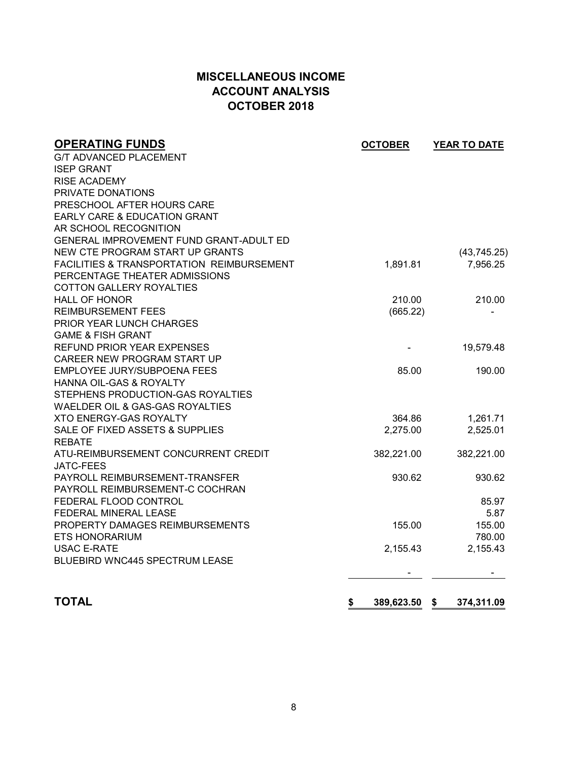# **MISCELLANEOUS INCOME ACCOUNT ANALYSIS OCTOBER 2018**

| <b>OPERATING FUNDS</b>                               | <b>OCTOBER</b>   | YEAR TO DATE     |
|------------------------------------------------------|------------------|------------------|
| <b>G/T ADVANCED PLACEMENT</b>                        |                  |                  |
| <b>ISEP GRANT</b>                                    |                  |                  |
| <b>RISE ACADEMY</b>                                  |                  |                  |
| PRIVATE DONATIONS                                    |                  |                  |
| PRESCHOOL AFTER HOURS CARE                           |                  |                  |
| <b>EARLY CARE &amp; EDUCATION GRANT</b>              |                  |                  |
| AR SCHOOL RECOGNITION                                |                  |                  |
| GENERAL IMPROVEMENT FUND GRANT-ADULT ED              |                  |                  |
| NEW CTE PROGRAM START UP GRANTS                      |                  | (43, 745.25)     |
| <b>FACILITIES &amp; TRANSPORTATION REIMBURSEMENT</b> | 1,891.81         | 7,956.25         |
| PERCENTAGE THEATER ADMISSIONS                        |                  |                  |
| <b>COTTON GALLERY ROYALTIES</b>                      |                  |                  |
| <b>HALL OF HONOR</b>                                 | 210.00           | 210.00           |
| <b>REIMBURSEMENT FEES</b>                            | (665.22)         |                  |
| PRIOR YEAR LUNCH CHARGES                             |                  |                  |
| <b>GAME &amp; FISH GRANT</b>                         |                  |                  |
| <b>REFUND PRIOR YEAR EXPENSES</b>                    |                  | 19,579.48        |
| CAREER NEW PROGRAM START UP                          |                  |                  |
| EMPLOYEE JURY/SUBPOENA FEES                          | 85.00            | 190.00           |
| HANNA OIL-GAS & ROYALTY                              |                  |                  |
| STEPHENS PRODUCTION-GAS ROYALTIES                    |                  |                  |
| WAELDER OIL & GAS-GAS ROYALTIES                      |                  |                  |
| <b>XTO ENERGY-GAS ROYALTY</b>                        | 364.86           | 1,261.71         |
| SALE OF FIXED ASSETS & SUPPLIES                      | 2,275.00         | 2,525.01         |
| <b>REBATE</b>                                        |                  |                  |
| ATU-REIMBURSEMENT CONCURRENT CREDIT                  | 382,221.00       | 382,221.00       |
| <b>JATC-FEES</b>                                     |                  |                  |
| PAYROLL REIMBURSEMENT-TRANSFER                       | 930.62           | 930.62           |
| PAYROLL REIMBURSEMENT-C COCHRAN                      |                  |                  |
| FEDERAL FLOOD CONTROL                                |                  | 85.97            |
| FEDERAL MINERAL LEASE                                |                  | 5.87             |
| PROPERTY DAMAGES REIMBURSEMENTS                      | 155.00           | 155.00           |
| ETS HONORARIUM                                       |                  | 780.00           |
| <b>USAC E-RATE</b>                                   | 2,155.43         | 2,155.43         |
| <b>BLUEBIRD WNC445 SPECTRUM LEASE</b>                |                  |                  |
|                                                      |                  |                  |
| <b>TOTAL</b>                                         |                  |                  |
|                                                      | \$<br>389,623.50 | 374,311.09<br>\$ |